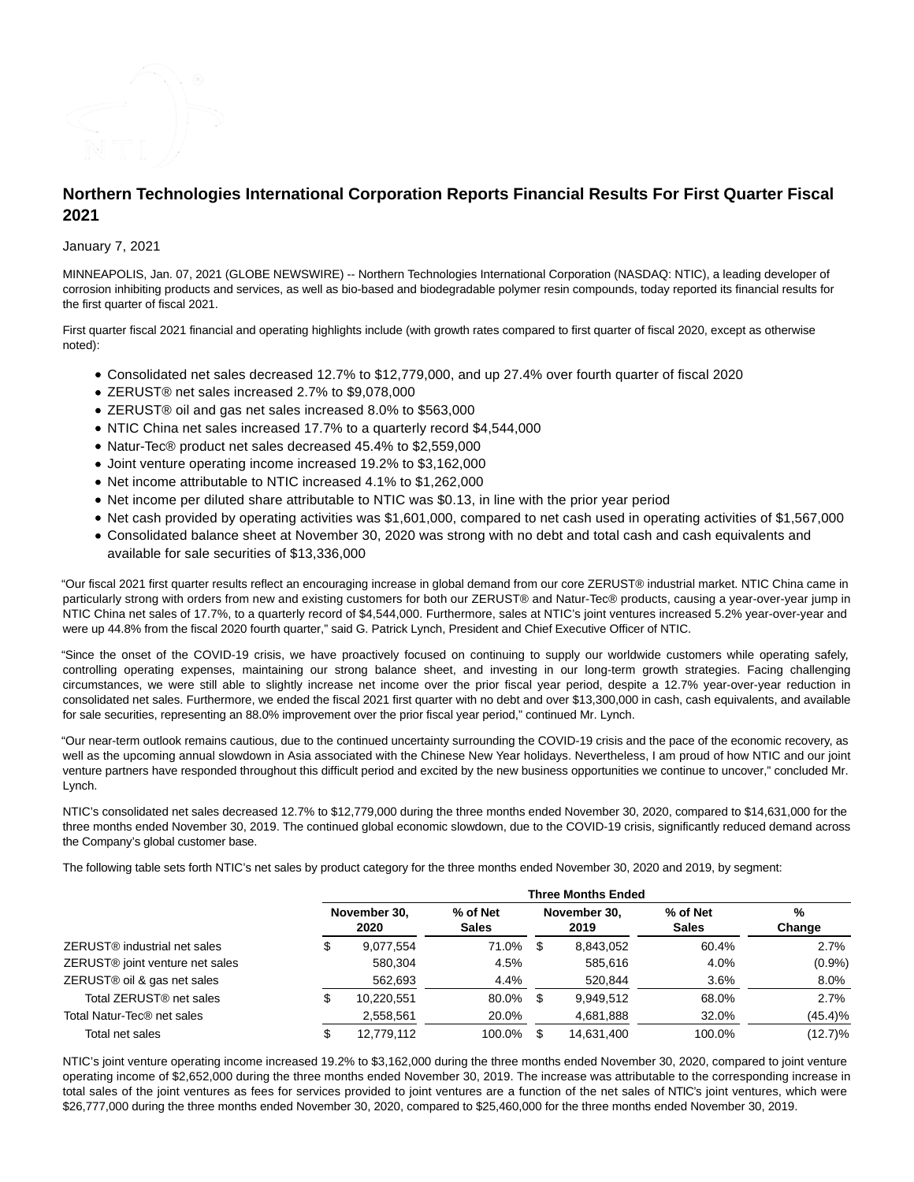

# **Northern Technologies International Corporation Reports Financial Results For First Quarter Fiscal 2021**

# January 7, 2021

MINNEAPOLIS, Jan. 07, 2021 (GLOBE NEWSWIRE) -- Northern Technologies International Corporation (NASDAQ: NTIC), a leading developer of corrosion inhibiting products and services, as well as bio-based and biodegradable polymer resin compounds, today reported its financial results for the first quarter of fiscal 2021.

First quarter fiscal 2021 financial and operating highlights include (with growth rates compared to first quarter of fiscal 2020, except as otherwise noted):

- Consolidated net sales decreased 12.7% to \$12,779,000, and up 27.4% over fourth quarter of fiscal 2020
- ZERUST® net sales increased 2.7% to \$9,078,000
- ZERUST® oil and gas net sales increased 8.0% to \$563,000
- NTIC China net sales increased 17.7% to a quarterly record \$4,544,000
- Natur-Tec® product net sales decreased 45.4% to \$2,559,000
- Joint venture operating income increased 19.2% to \$3,162,000
- Net income attributable to NTIC increased 4.1% to \$1,262,000
- Net income per diluted share attributable to NTIC was \$0.13, in line with the prior year period
- Net cash provided by operating activities was \$1,601,000, compared to net cash used in operating activities of \$1,567,000
- Consolidated balance sheet at November 30, 2020 was strong with no debt and total cash and cash equivalents and available for sale securities of \$13,336,000

"Our fiscal 2021 first quarter results reflect an encouraging increase in global demand from our core ZERUST® industrial market. NTIC China came in particularly strong with orders from new and existing customers for both our ZERUST® and Natur-Tec® products, causing a year-over-year jump in NTIC China net sales of 17.7%, to a quarterly record of \$4,544,000. Furthermore, sales at NTIC's joint ventures increased 5.2% year-over-year and were up 44.8% from the fiscal 2020 fourth quarter," said G. Patrick Lynch, President and Chief Executive Officer of NTIC.

"Since the onset of the COVID-19 crisis, we have proactively focused on continuing to supply our worldwide customers while operating safely, controlling operating expenses, maintaining our strong balance sheet, and investing in our long-term growth strategies. Facing challenging circumstances, we were still able to slightly increase net income over the prior fiscal year period, despite a 12.7% year-over-year reduction in consolidated net sales. Furthermore, we ended the fiscal 2021 first quarter with no debt and over \$13,300,000 in cash, cash equivalents, and available for sale securities, representing an 88.0% improvement over the prior fiscal year period," continued Mr. Lynch.

"Our near-term outlook remains cautious, due to the continued uncertainty surrounding the COVID-19 crisis and the pace of the economic recovery, as well as the upcoming annual slowdown in Asia associated with the Chinese New Year holidays. Nevertheless, I am proud of how NTIC and our joint venture partners have responded throughout this difficult period and excited by the new business opportunities we continue to uncover," concluded Mr. Lynch.

NTIC's consolidated net sales decreased 12.7% to \$12,779,000 during the three months ended November 30, 2020, compared to \$14,631,000 for the three months ended November 30, 2019. The continued global economic slowdown, due to the COVID-19 crisis, significantly reduced demand across the Company's global customer base.

The following table sets forth NTIC's net sales by product category for the three months ended November 30, 2020 and 2019, by segment:

|                                             | <b>Three Months Ended</b> |                      |                          |     |                      |                          |             |
|---------------------------------------------|---------------------------|----------------------|--------------------------|-----|----------------------|--------------------------|-------------|
|                                             |                           | November 30,<br>2020 | % of Net<br><b>Sales</b> |     | November 30.<br>2019 | % of Net<br><b>Sales</b> | %<br>Change |
| ZERUST® industrial net sales                |                           | 9,077,554            | 71.0%                    | \$. | 8.843.052            | 60.4%                    | 2.7%        |
| ZERUST <sup>®</sup> joint venture net sales |                           | 580.304              | 4.5%                     |     | 585.616              | 4.0%                     | $(0.9\%)$   |
| ZERUST <sup>®</sup> oil & gas net sales     |                           | 562,693              | 4.4%                     |     | 520,844              | 3.6%                     | $8.0\%$     |
| Total ZERUST <sup>®</sup> net sales         |                           | 10,220,551           | 80.0%                    | \$. | 9.949.512            | 68.0%                    | 2.7%        |
| Total Natur-Tec® net sales                  |                           | 2,558,561            | 20.0%                    |     | 4,681,888            | 32.0%                    | (45.4)%     |
| Total net sales                             |                           | 12.779.112           | 100.0%                   |     | 14.631.400           | 100.0%                   | $(12.7)\%$  |

NTIC's joint venture operating income increased 19.2% to \$3,162,000 during the three months ended November 30, 2020, compared to joint venture operating income of \$2,652,000 during the three months ended November 30, 2019. The increase was attributable to the corresponding increase in total sales of the joint ventures as fees for services provided to joint ventures are a function of the net sales of NTIC's joint ventures, which were \$26,777,000 during the three months ended November 30, 2020, compared to \$25,460,000 for the three months ended November 30, 2019.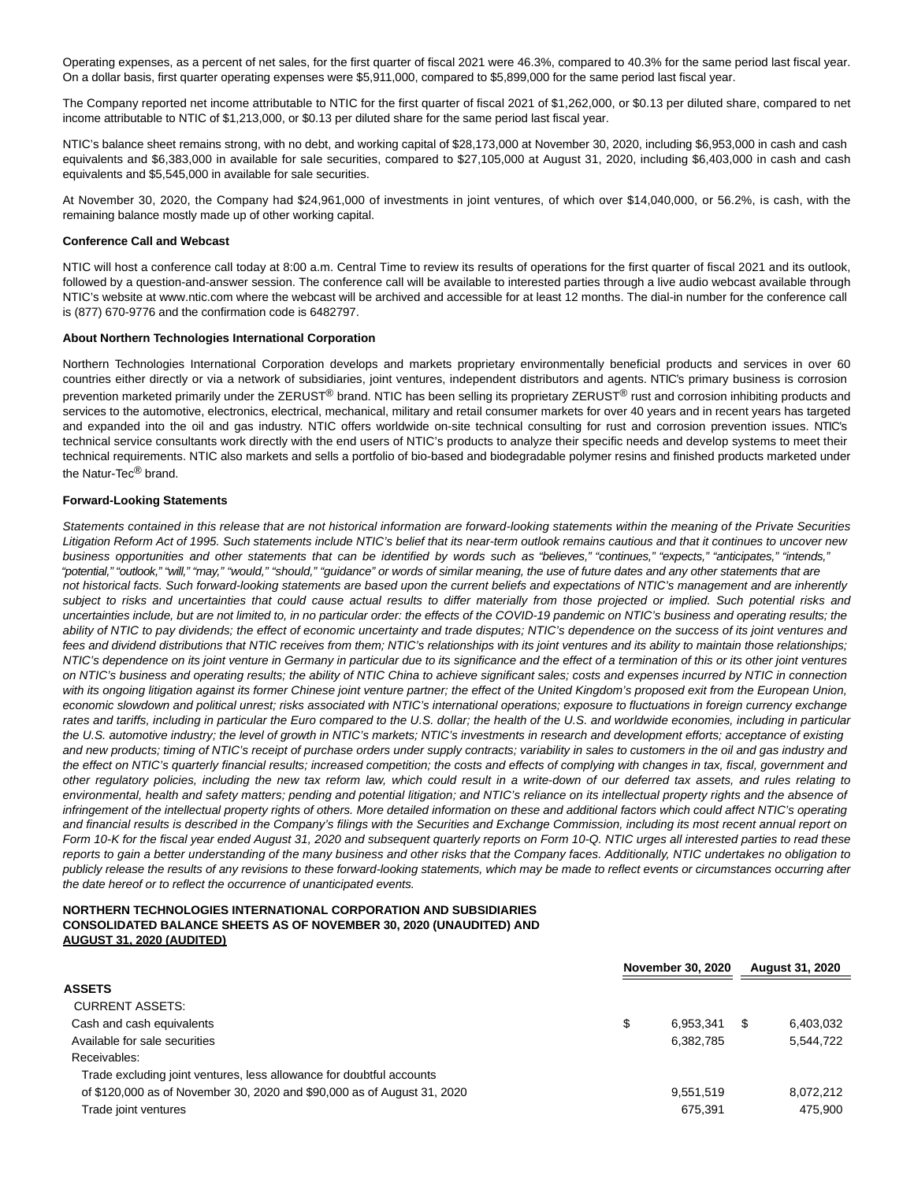Operating expenses, as a percent of net sales, for the first quarter of fiscal 2021 were 46.3%, compared to 40.3% for the same period last fiscal year. On a dollar basis, first quarter operating expenses were \$5,911,000, compared to \$5,899,000 for the same period last fiscal year.

The Company reported net income attributable to NTIC for the first quarter of fiscal 2021 of \$1,262,000, or \$0.13 per diluted share, compared to net income attributable to NTIC of \$1,213,000, or \$0.13 per diluted share for the same period last fiscal year.

NTIC's balance sheet remains strong, with no debt, and working capital of \$28,173,000 at November 30, 2020, including \$6,953,000 in cash and cash equivalents and \$6,383,000 in available for sale securities, compared to \$27,105,000 at August 31, 2020, including \$6,403,000 in cash and cash equivalents and \$5,545,000 in available for sale securities.

At November 30, 2020, the Company had \$24,961,000 of investments in joint ventures, of which over \$14,040,000, or 56.2%, is cash, with the remaining balance mostly made up of other working capital.

#### **Conference Call and Webcast**

NTIC will host a conference call today at 8:00 a.m. Central Time to review its results of operations for the first quarter of fiscal 2021 and its outlook, followed by a question-and-answer session. The conference call will be available to interested parties through a live audio webcast available through NTIC's website at www.ntic.com where the webcast will be archived and accessible for at least 12 months. The dial-in number for the conference call is (877) 670-9776 and the confirmation code is 6482797.

#### **About Northern Technologies International Corporation**

Northern Technologies International Corporation develops and markets proprietary environmentally beneficial products and services in over 60 countries either directly or via a network of subsidiaries, joint ventures, independent distributors and agents. NTIC's primary business is corrosion prevention marketed primarily under the ZERUST® brand. NTIC has been selling its proprietary ZERUST<sup>®</sup> rust and corrosion inhibiting products and services to the automotive, electronics, electrical, mechanical, military and retail consumer markets for over 40 years and in recent years has targeted and expanded into the oil and gas industry. NTIC offers worldwide on-site technical consulting for rust and corrosion prevention issues. NTIC's technical service consultants work directly with the end users of NTIC's products to analyze their specific needs and develop systems to meet their technical requirements. NTIC also markets and sells a portfolio of bio-based and biodegradable polymer resins and finished products marketed under the Natur-Tec® brand.

### **Forward-Looking Statements**

Statements contained in this release that are not historical information are forward-looking statements within the meaning of the Private Securities Litigation Reform Act of 1995. Such statements include NTIC's belief that its near-term outlook remains cautious and that it continues to uncover new business opportunities and other statements that can be identified by words such as "believes," "continues," "expects," "anticipates," "intends," "potential," "outlook," "will," "may," "would," "should," "guidance" or words of similar meaning, the use of future dates and any other statements that are not historical facts. Such forward-looking statements are based upon the current beliefs and expectations of NTIC's management and are inherently subject to risks and uncertainties that could cause actual results to differ materially from those projected or implied. Such potential risks and uncertainties include, but are not limited to, in no particular order: the effects of the COVID-19 pandemic on NTIC's business and operating results; the ability of NTIC to pay dividends; the effect of economic uncertainty and trade disputes; NTIC's dependence on the success of its joint ventures and fees and dividend distributions that NTIC receives from them; NTIC's relationships with its joint ventures and its ability to maintain those relationships; NTIC's dependence on its joint venture in Germany in particular due to its significance and the effect of a termination of this or its other joint ventures on NTIC's business and operating results; the ability of NTIC China to achieve significant sales; costs and expenses incurred by NTIC in connection with its ongoing litigation against its former Chinese joint venture partner; the effect of the United Kingdom's proposed exit from the European Union, economic slowdown and political unrest; risks associated with NTIC's international operations; exposure to fluctuations in foreign currency exchange rates and tariffs, including in particular the Euro compared to the U.S. dollar; the health of the U.S. and worldwide economies, including in particular the U.S. automotive industry; the level of growth in NTIC's markets; NTIC's investments in research and development efforts; acceptance of existing and new products; timing of NTIC's receipt of purchase orders under supply contracts; variability in sales to customers in the oil and gas industry and the effect on NTIC's quarterly financial results; increased competition; the costs and effects of complying with changes in tax, fiscal, government and other regulatory policies, including the new tax reform law, which could result in a write-down of our deferred tax assets, and rules relating to environmental, health and safety matters; pending and potential litigation; and NTIC's reliance on its intellectual property rights and the absence of infringement of the intellectual property rights of others. More detailed information on these and additional factors which could affect NTIC's operating and financial results is described in the Company's filings with the Securities and Exchange Commission, including its most recent annual report on Form 10-K for the fiscal year ended August 31, 2020 and subsequent quarterly reports on Form 10-Q. NTIC urges all interested parties to read these reports to gain a better understanding of the many business and other risks that the Company faces. Additionally, NTIC undertakes no obligation to publicly release the results of any revisions to these forward-looking statements, which may be made to reflect events or circumstances occurring after the date hereof or to reflect the occurrence of unanticipated events.

# **NORTHERN TECHNOLOGIES INTERNATIONAL CORPORATION AND SUBSIDIARIES CONSOLIDATED BALANCE SHEETS AS OF NOVEMBER 30, 2020 (UNAUDITED) AND AUGUST 31, 2020 (AUDITED)**

|                                                                         | November 30, 2020 |           | <b>August 31, 2020</b> |           |
|-------------------------------------------------------------------------|-------------------|-----------|------------------------|-----------|
| <b>ASSETS</b>                                                           |                   |           |                        |           |
| <b>CURRENT ASSETS:</b>                                                  |                   |           |                        |           |
| Cash and cash equivalents                                               | \$                | 6.953.341 |                        | 6,403,032 |
| Available for sale securities                                           |                   | 6,382,785 |                        | 5,544,722 |
| Receivables:                                                            |                   |           |                        |           |
| Trade excluding joint ventures, less allowance for doubtful accounts    |                   |           |                        |           |
| of \$120,000 as of November 30, 2020 and \$90,000 as of August 31, 2020 |                   | 9,551,519 |                        | 8.072.212 |
| Trade joint ventures                                                    |                   | 675,391   |                        | 475,900   |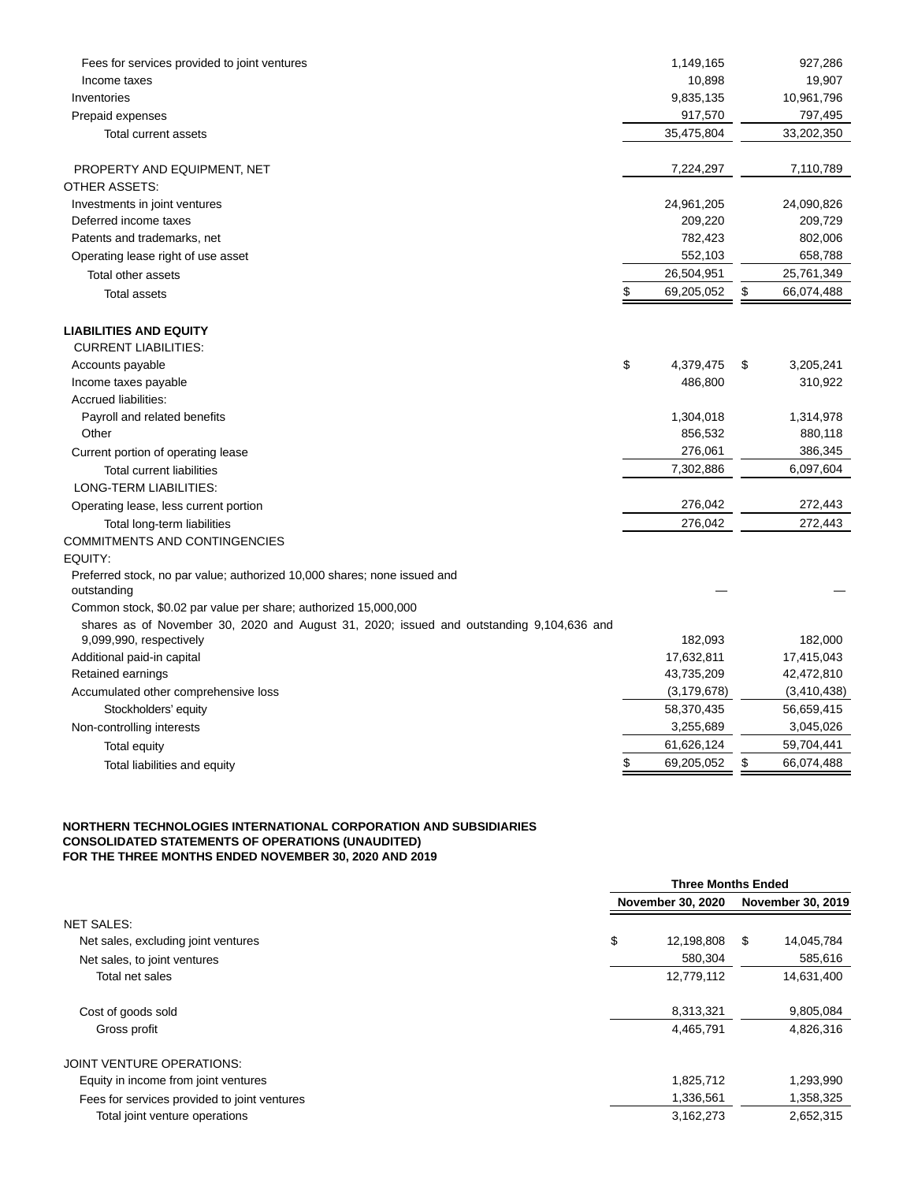| Fees for services provided to joint ventures                                             | 1,149,165        | 927,286          |
|------------------------------------------------------------------------------------------|------------------|------------------|
| Income taxes                                                                             | 10,898           | 19,907           |
| Inventories                                                                              | 9,835,135        | 10,961,796       |
| Prepaid expenses                                                                         | 917,570          | 797,495          |
| Total current assets                                                                     | 35,475,804       | 33,202,350       |
| PROPERTY AND EQUIPMENT, NET                                                              | 7,224,297        | 7,110,789        |
| OTHER ASSETS:                                                                            |                  |                  |
| Investments in joint ventures                                                            | 24,961,205       | 24,090,826       |
| Deferred income taxes                                                                    | 209,220          | 209,729          |
| Patents and trademarks, net                                                              | 782,423          | 802,006          |
| Operating lease right of use asset                                                       | 552,103          | 658,788          |
| Total other assets                                                                       | 26,504,951       | 25,761,349       |
| <b>Total assets</b>                                                                      | \$<br>69,205,052 | \$<br>66,074,488 |
| <b>LIABILITIES AND EQUITY</b>                                                            |                  |                  |
| <b>CURRENT LIABILITIES:</b>                                                              |                  |                  |
| Accounts payable                                                                         | \$<br>4,379,475  | \$<br>3,205,241  |
| Income taxes payable                                                                     | 486,800          | 310,922          |
| Accrued liabilities:                                                                     |                  |                  |
| Payroll and related benefits                                                             | 1,304,018        | 1,314,978        |
| Other                                                                                    | 856,532          | 880,118          |
| Current portion of operating lease                                                       | 276,061          | 386,345          |
| <b>Total current liabilities</b>                                                         | 7,302,886        | 6,097,604        |
| LONG-TERM LIABILITIES:                                                                   |                  |                  |
| Operating lease, less current portion                                                    | 276,042          | 272,443          |
| Total long-term liabilities                                                              | 276,042          | 272,443          |
| <b>COMMITMENTS AND CONTINGENCIES</b>                                                     |                  |                  |
| EQUITY:                                                                                  |                  |                  |
| Preferred stock, no par value; authorized 10,000 shares; none issued and<br>outstanding  |                  |                  |
| Common stock, \$0.02 par value per share; authorized 15,000,000                          |                  |                  |
| shares as of November 30, 2020 and August 31, 2020; issued and outstanding 9,104,636 and |                  |                  |
| 9,099,990, respectively                                                                  | 182,093          | 182,000          |
| Additional paid-in capital                                                               | 17,632,811       | 17,415,043       |
| Retained earnings                                                                        | 43,735,209       | 42,472,810       |
| Accumulated other comprehensive loss                                                     | (3, 179, 678)    | (3,410,438)      |
| Stockholders' equity                                                                     | 58,370,435       | 56,659,415       |
| Non-controlling interests                                                                | 3,255,689        | 3,045,026        |
| Total equity                                                                             | 61,626,124       | 59,704,441       |
| Total liabilities and equity                                                             | \$<br>69,205,052 | \$<br>66,074,488 |

## **NORTHERN TECHNOLOGIES INTERNATIONAL CORPORATION AND SUBSIDIARIES CONSOLIDATED STATEMENTS OF OPERATIONS (UNAUDITED) FOR THE THREE MONTHS ENDED NOVEMBER 30, 2020 AND 2019**

|                                              | <b>Three Months Ended</b> |    |                   |  |
|----------------------------------------------|---------------------------|----|-------------------|--|
|                                              | <b>November 30, 2020</b>  |    | November 30, 2019 |  |
| <b>NET SALES:</b>                            |                           |    |                   |  |
| Net sales, excluding joint ventures          | \$<br>12,198,808          | -S | 14,045,784        |  |
| Net sales, to joint ventures                 | 580,304                   |    | 585,616           |  |
| Total net sales                              | 12,779,112                |    | 14,631,400        |  |
| Cost of goods sold                           | 8,313,321                 |    | 9,805,084         |  |
| Gross profit                                 | 4,465,791                 |    | 4,826,316         |  |
| <b>JOINT VENTURE OPERATIONS:</b>             |                           |    |                   |  |
| Equity in income from joint ventures         | 1,825,712                 |    | 1,293,990         |  |
| Fees for services provided to joint ventures | 1,336,561                 |    | 1,358,325         |  |
| Total joint venture operations               | 3,162,273                 |    | 2.652.315         |  |